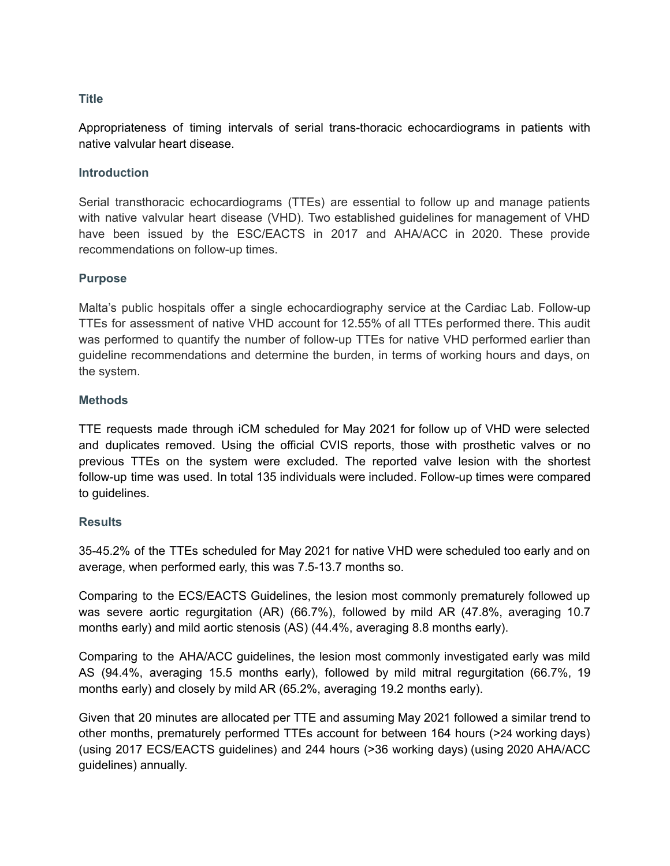### **Title**

Appropriateness of timing intervals of serial trans-thoracic echocardiograms in patients with native valvular heart disease.

### **Introduction**

Serial transthoracic echocardiograms (TTEs) are essential to follow up and manage patients with native valvular heart disease (VHD). Two established guidelines for management of VHD have been issued by the ESC/EACTS in 2017 and AHA/ACC in 2020. These provide recommendations on follow-up times.

### **Purpose**

Malta's public hospitals offer a single echocardiography service at the Cardiac Lab. Follow-up TTEs for assessment of native VHD account for 12.55% of all TTEs performed there. This audit was performed to quantify the number of follow-up TTEs for native VHD performed earlier than guideline recommendations and determine the burden, in terms of working hours and days, on the system.

# **Methods**

TTE requests made through iCM scheduled for May 2021 for follow up of VHD were selected and duplicates removed. Using the official CVIS reports, those with prosthetic valves or no previous TTEs on the system were excluded. The reported valve lesion with the shortest follow-up time was used. In total 135 individuals were included. Follow-up times were compared to guidelines.

### **Results**

35-45.2% of the TTEs scheduled for May 2021 for native VHD were scheduled too early and on average, when performed early, this was 7.5-13.7 months so.

Comparing to the ECS/EACTS Guidelines, the lesion most commonly prematurely followed up was severe aortic regurgitation (AR) (66.7%), followed by mild AR (47.8%, averaging 10.7 months early) and mild aortic stenosis (AS) (44.4%, averaging 8.8 months early).

Comparing to the AHA/ACC guidelines, the lesion most commonly investigated early was mild AS (94.4%, averaging 15.5 months early), followed by mild mitral regurgitation (66.7%, 19 months early) and closely by mild AR (65.2%, averaging 19.2 months early).

Given that 20 minutes are allocated per TTE and assuming May 2021 followed a similar trend to other months, prematurely performed TTEs account for between 164 hours (>24 working days) (using 2017 ECS/EACTS guidelines) and 244 hours (>36 working days) (using 2020 AHA/ACC guidelines) annually.